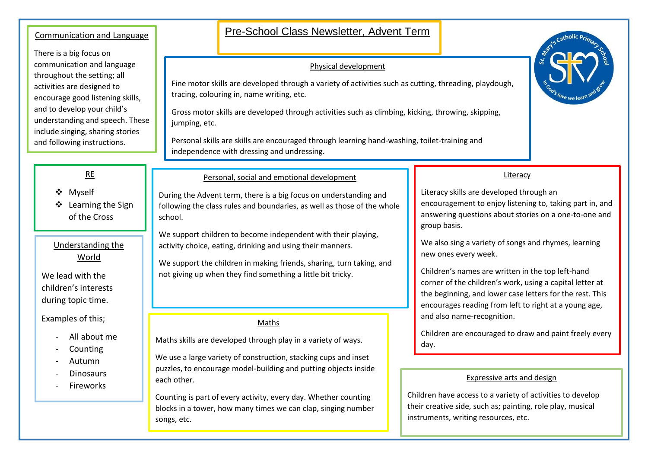## Communication and Language **Pre-School Class Newsletter, Advent Term** There is a big focus on communication and language throughout the setting; all activities are designed to encourage good listening skills, and to develop your child's understanding and speech. These include singing, sharing stories and following instructions. RE ❖ Myself ❖ Learning the Sign of the Cross Personal, social and emotional development During the Advent term, there is a big focus on understanding and following the class rules and boundaries, as well as those of the whole school. We support children to become independent with their playing, activity choice, eating, drinking and using their manners. We support the children in making friends, sharing, turn taking, and not giving up when they find something a little bit tricky. Physical development Fine motor skills are developed through a variety of activities such as cutting, threading, playdough, tracing, colouring in, name writing, etc. Gross motor skills are developed through activities such as climbing, kicking, throwing, skipping, jumping, etc. Personal skills are skills are encouraged through learning hand-washing, toilet-training and independence with dressing and undressing. Literacy Literacy skills are developed through an encouragement to enjoy listening to, taking part in, and answering questions about stories on a one-to-one and group basis. We also sing a variety of songs and rhymes, learning new ones every week. Children's names are written in the top left-hand corner of the children's work, using a capital letter at the beginning, and lower case letters for the rest. This encourages reading from left to right at a young age, and also name-recognition. Children are encouraged to draw and paint freely every day. Maths Maths skills are developed through play in a variety of ways. We use a large variety of construction, stacking cups and inset puzzles, to encourage model-building and putting objects inside each other. Counting is part of every activity, every day. Whether counting blocks in a tower, how many times we can clap, singing number songs, etc. Understanding the World We lead with the children's interests during topic time. Examples of this; - All about me **Counting** - Autumn **Dinosaurs** - Fireworks Expressive arts and design Children have access to a variety of activities to develop their creative side, such as; painting, role play, musical instruments, writing resources, etc.